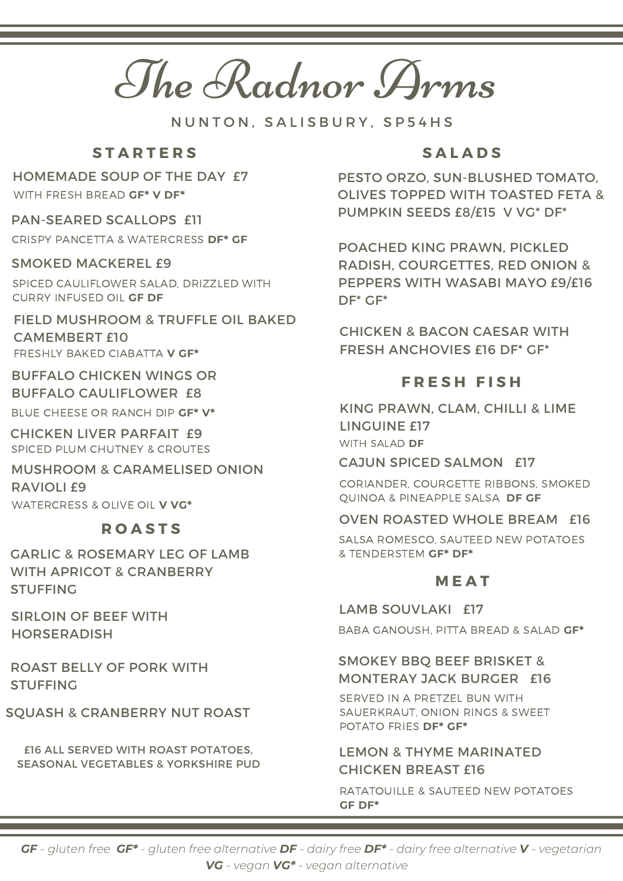The Radnor Arms

N U N T O N . S A L I S B U R Y . S P 5 4 H S

## **S T A R T E R S**

# HOMEMADE SOUP OF THE DAY £7

WITH FRESH BREAD **GF\* V DF\***

## PAN-SEARED SCALLOPS £11

CRISPY PANCETTA & WATERCRESS **DF\* GF**

### SMOKED MACKEREL £9

SPICED CAULIFLOWER SALAD, DRIZZLED WITH CURRY INFUSED OIL **GF DF**

## FIELD MUSHROOM & TRUFFLE OIL BAKED CAMEMBERT £10 FRESHLY BAKED CIABATTA **V GF\***

BUFFALO CHICKEN WINGS OR BUFFALO CAULIFLOWER £8

BLUE CHEESE OR RANCH DIP **GF\* V\***

CHICKEN LIVER PARFAIT £9 SPICED PLUM CHUTNEY & CROUTES

## MUSHROOM & CARAMELISED ONION RAVIOLI £9 WATERCRESS & OLIVE OIL **V VG\***

## **R O A S T S**

GARLIC & ROSEMARY LEG OF LAMB WITH APRICOT & CRANBERRY STUFFING

SIRLOIN OF BEEF WITH HORSERADISH

ROAST BELLY OF PORK WITH STUFFING

## SQUASH & CRANBERRY NUT ROAST

£16 ALL SERVED WITH ROAST POTATOES, SEASONAL VEGETABLES & YORKSHIRE PUD

## **S A L A D S**

PESTO ORZO, SUN-BLUSHED TOMATO, OLIVES TOPPED WITH TOASTED FETA & PUMPKIN SEEDS £8/£15 V VG\* DF\*

POACHED KING PRAWN, PICKLED RADISH, COURGETTES, RED ONION & PEPPERS WITH WASABI MAYO £9/£16 DF\* GF\*

CHICKEN & BACON CAESAR WITH FRESH ANCHOVIES £16 DF\* GF\*

## **F R E S H F I S H**

KING PRAWN, CLAM, CHILLI & LIME LINGUINE £17 WITH SALAD **DF**

#### CAJUN SPICED SALMON £17

CORIANDER, COURGETTE RIBBONS, SMOKED QUINOA & PINEAPPLE SALSA **DF GF**

## OVEN ROASTED WHOLE BREAM £16

SALSA ROMESCO, SAUTEED NEW POTATOES & TENDERSTEM **GF\* DF\***

## **M E A T**

LAMB SOUVLAKI £17

BABA GANOUSH, PITTA BREAD & SALAD **GF\***

## SMOKEY BBQ BEEF BRISKET & MONTERAY JACK BURGER £16

SERVED IN A PRETZEL BUN WITH SAUERKRAUT, ONION RINGS & SWEET POTATO FRIES **DF\* GF\***

## LEMON & THYME MARINATED CHICKEN BREAST £16

RATATOUILLE & SAUTEED NEW POTATOES **GF DF\***